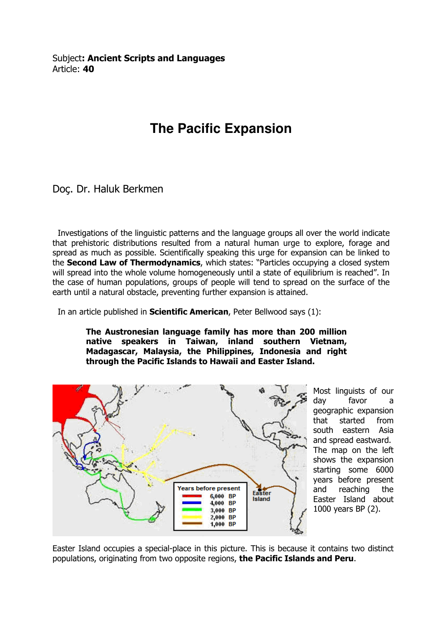Subject: Ancient Scripts and Languages Article: 40

## **The Pacific Expansion**

Doç. Dr. Haluk Berkmen

 Investigations of the linguistic patterns and the language groups all over the world indicate that prehistoric distributions resulted from a natural human urge to explore, forage and spread as much as possible. Scientifically speaking this urge for expansion can be linked to the Second Law of Thermodynamics, which states: "Particles occupying a closed system will spread into the whole volume homogeneously until a state of equilibrium is reached". In the case of human populations, groups of people will tend to spread on the surface of the earth until a natural obstacle, preventing further expansion is attained.

In an article published in **Scientific American**, Peter Bellwood says (1):

The Austronesian language family has more than 200 million native speakers in Taiwan, inland southern Vietnam, Madagascar, Malaysia, the Philippines, Indonesia and right through the Pacific Islands to Hawaii and Easter Island.



Most linguists of our day favor a geographic expansion that started from south eastern Asia and spread eastward. The map on the left shows the expansion starting some 6000 years before present and reaching the Easter Island about 1000 years BP (2).

Easter Island occupies a special-place in this picture. This is because it contains two distinct populations, originating from two opposite regions, the Pacific Islands and Peru.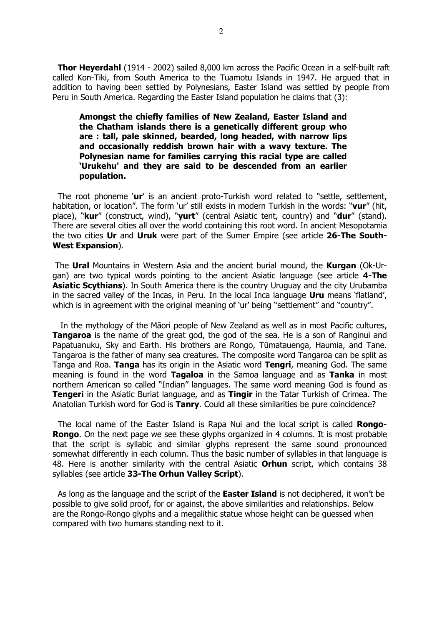Thor Heyerdahl (1914 - 2002) sailed 8,000 km across the Pacific Ocean in a self-built raft called Kon-Tiki, from South America to the Tuamotu Islands in 1947. He argued that in addition to having been settled by Polynesians, Easter Island was settled by people from Peru in South America. Regarding the Easter Island population he claims that (3):

Amongst the chiefly families of New Zealand, Easter Island and the Chatham islands there is a genetically different group who are : tall, pale skinned, bearded, long headed, with narrow lips and occasionally reddish brown hair with a wavy texture. The Polynesian name for families carrying this racial type are called 'Urukehu' and they are said to be descended from an earlier population.

The root phoneme 'ur' is an ancient proto-Turkish word related to "settle, settlement, habitation, or location". The form 'ur' still exists in modern Turkish in the words: "vur" (hit, place), "kur" (construct, wind), "yurt" (central Asiatic tent, country) and "dur" (stand). There are several cities all over the world containing this root word. In ancient Mesopotamia the two cities Ur and Uruk were part of the Sumer Empire (see article 26-The South-West Expansion).

 The Ural Mountains in Western Asia and the ancient burial mound, the Kurgan (Ok-Urgan) are two typical words pointing to the ancient Asiatic language (see article 4-The Asiatic Scythians). In South America there is the country Uruguay and the city Urubamba in the sacred valley of the Incas, in Peru. In the local Inca language Uru means 'flatland', which is in agreement with the original meaning of 'ur' being "settlement" and "country".

 In the mythology of the Māori people of New Zealand as well as in most Pacific cultures, **Tangaroa** is the name of the great god, the god of the sea. He is a son of Ranginui and Papatuanuku, Sky and Earth. His brothers are Rongo, Tūmatauenga, Haumia, and Tane. Tangaroa is the father of many sea creatures. The composite word Tangaroa can be split as Tanga and Roa. Tanga has its origin in the Asiatic word Tengri, meaning God. The same meaning is found in the word **Tagaloa** in the Samoa language and as **Tanka** in most northern American so called "Indian" languages. The same word meaning God is found as **Tengeri** in the Asiatic Buriat language, and as **Tingir** in the Tatar Turkish of Crimea. The Anatolian Turkish word for God is Tanry. Could all these similarities be pure coincidence?

The local name of the Easter Island is Rapa Nui and the local script is called **Rongo-Rongo.** On the next page we see these glyphs organized in 4 columns. It is most probable that the script is syllabic and similar glyphs represent the same sound pronounced somewhat differently in each column. Thus the basic number of syllables in that language is 48. Here is another similarity with the central Asiatic **Orhun** script, which contains 38 syllables (see article 33-The Orhun Valley Script).

As long as the language and the script of the **Easter Island** is not deciphered, it won't be possible to give solid proof, for or against, the above similarities and relationships. Below are the Rongo-Rongo glyphs and a megalithic statue whose height can be guessed when compared with two humans standing next to it.